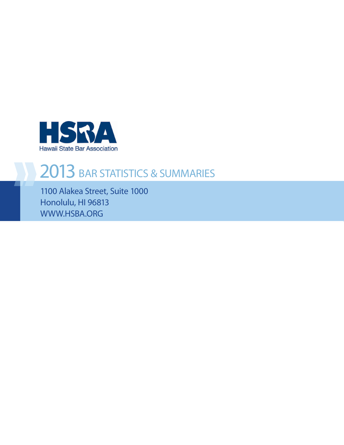

### 2013 BAR STATISTICS & SUMMARIES

1100 Alakea Street, Suite 1000 Honolulu, HI 96813 WWW.HSBA.ORG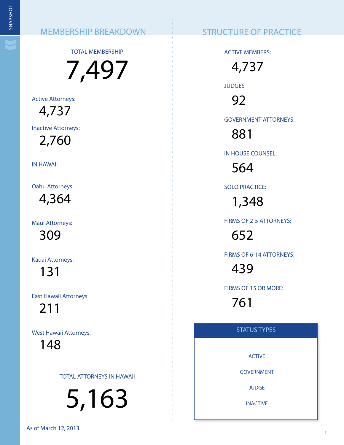TOTAL MEMBERSHIP

7,497

Active Attorneys: 4,737

Inactive Attorneys:

2,760

IN HAWAII

Oahu Attorneys: 4,364

Maui Attorneys:

309

Kauai Attorneys:

131

East Hawaii Attorneys:

211

West Hawaii Attorneys:

148

TOTAL ATTORNEYS IN HAWAII

5,163 1 1 SNAPSHOT

ACTIVE MEMBERS:

4,737 **JUDGES** 92

GOVERNMENT ATTORNEYS:

881

IN HOUSE COUNSEL:

564

SOLO PRACTICE:

1,348

FIRMS OF 2-5 ATTORNEYS:

652

FIRMS OF 6-14 ATTORNEYS:

439

FIRMS OF 15 OR MORE:

761

#### STATUS TYPES

ACTIVE

GOVERNMENT

**JUDGE** 

INACTIVE

As of March 12, 2013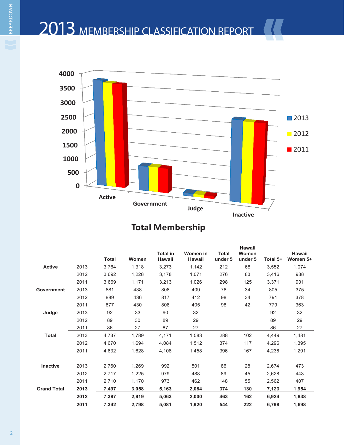## 2013 MEMBERSHIP CLASSIFICATION REPORT



#### **Total Membership**

|                    |      | <b>Total</b> | Women | <b>Total in</b><br><b>Hawaii</b> | Women in<br><b>Hawaii</b> | <b>Total</b><br>under 5 | Hawaii<br>Women<br>under 5 | Total 5+ | Hawaii<br>Women 5+ |
|--------------------|------|--------------|-------|----------------------------------|---------------------------|-------------------------|----------------------------|----------|--------------------|
| <b>Active</b>      | 2013 | 3,764        | 1,318 | 3,273                            | 1,142                     | 212                     | 68                         | 3,552    | 1,074              |
|                    | 2012 | 3,692        | 1,228 | 3,178                            | 1,071                     | 276                     | 83                         | 3,416    | 988                |
|                    | 2011 | 3,669        | 1,171 | 3,213                            | 1,026                     | 298                     | 125                        | 3,371    | 901                |
| Government         | 2013 | 881          | 438   | 808                              | 409                       | 76                      | 34                         | 805      | 375                |
|                    | 2012 | 889          | 436   | 817                              | 412                       | 98                      | 34                         | 791      | 378                |
|                    | 2011 | 877          | 430   | 808                              | 405                       | 98                      | 42                         | 779      | 363                |
| Judge              | 2013 | 92           | 33    | 90                               | 32                        |                         |                            | 92       | 32                 |
|                    | 2012 | 89           | 30    | 89                               | 29                        |                         |                            | 89       | 29                 |
|                    | 2011 | 86           | 27    | 87                               | 27                        |                         |                            | 86       | 27                 |
| <b>Total</b>       | 2013 | 4,737        | 1,789 | 4,171                            | 1,583                     | 288                     | 102                        | 4,449    | 1,481              |
|                    | 2012 | 4,670        | 1,694 | 4,084                            | 1,512                     | 374                     | 117                        | 4,296    | 1,395              |
|                    | 2011 | 4,632        | 1,628 | 4.108                            | 1,458                     | 396                     | 167                        | 4,236    | 1,291              |
| <b>Inactive</b>    | 2013 | 2,760        | 1,269 | 992                              | 501                       | 86                      | 28                         | 2,674    | 473                |
|                    | 2012 | 2,717        | 1,225 | 979                              | 488                       | 89                      | 45                         | 2,628    | 443                |
|                    | 2011 | 2,710        | 1,170 | 973                              | 462                       | 148                     | 55                         | 2,562    | 407                |
| <b>Grand Total</b> | 2013 | 7,497        | 3,058 | 5,163                            | 2,084                     | 374                     | 130                        | 7,123    | 1,954              |
|                    | 2012 | 7,387        | 2,919 | 5,063                            | 2,000                     | 463                     | 162                        | 6,924    | 1,838              |
|                    | 2011 | 7,342        | 2,798 | 5,081                            | 1,920                     | 544                     | 222                        | 6,798    | 1,698              |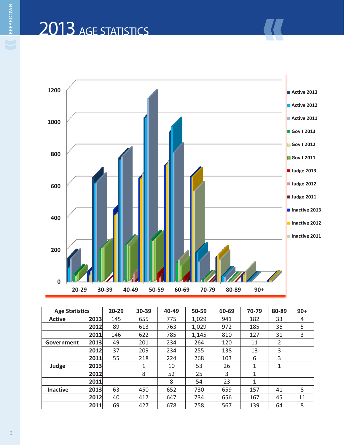# 2013 AGE STATISTICS



| <b>Age Statistics</b> |      | $20 - 29$ | $30 - 39$ | 40-49 | 50-59 | 60-69 | 70-79 | 80-89 | $90+$ |
|-----------------------|------|-----------|-----------|-------|-------|-------|-------|-------|-------|
| <b>Active</b>         | 2013 | 145       | 655       | 775   | 1,029 | 941   | 182   | 33    | 4     |
|                       | 2012 | 89        | 613       | 763   | 1,029 | 972   | 185   | 36    | 5     |
|                       | 2011 | 146       | 622       | 785   | 1,145 | 810   | 127   | 31    | 3     |
| Government            | 2013 | 49        | 201       | 234   | 264   | 120   | 11    | 2     |       |
|                       | 2012 | 37        | 209       | 234   | 255   | 138   | 13    | 3     |       |
|                       | 2011 | 55        | 218       | 224   | 268   | 103   | 6     | 3     |       |
| Judge                 | 2013 |           | 1         | 10    | 53    | 26    | 1     | 1     |       |
|                       | 2012 |           | 8         | 52    | 25    | 3     | 1     |       |       |
|                       | 2011 |           |           | 8     | 54    | 23    | 1     |       |       |
| <b>Inactive</b>       | 2013 | 63        | 450       | 652   | 730   | 659   | 157   | 41    | 8     |
|                       | 2012 | 40        | 417       | 647   | 734   | 656   | 167   | 45    | 11    |
|                       | 2011 | 69        | 427       | 678   | 758   | 567   | 139   | 64    | 8     |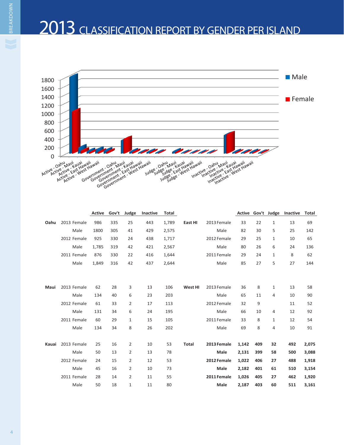### 2013 CLASSIFICATION REPORT BY GENDER PER ISLAND



|       |             | <b>Active</b> | Gov't | Judge          | Inactive | <b>Total</b> |              |             | Active | Gov't | Judge        | Inactive | <b>Total</b> |
|-------|-------------|---------------|-------|----------------|----------|--------------|--------------|-------------|--------|-------|--------------|----------|--------------|
| Oahu  | 2013 Female | 986           | 335   | 25             | 443      | 1,789        | East HI      | 2013 Female | 33     | 22    | $\mathbf{1}$ | 13       | 69           |
|       | Male        | 1800          | 305   | 41             | 429      | 2,575        |              | Male        | 82     | 30    | 5            | 25       | 142          |
|       | 2012 Female | 925           | 330   | 24             | 438      | 1,717        |              | 2012 Female | 29     | 25    | $\mathbf{1}$ | 10       | 65           |
|       | Male        | 1,785         | 319   | 42             | 421      | 2,567        |              | Male        | 80     | 26    | 6            | 24       | 136          |
|       | 2011 Female | 876           | 330   | 22             | 416      | 1,644        |              | 2011 Female | 29     | 24    | $\mathbf{1}$ | 8        | 62           |
|       | Male        | 1,849         | 316   | 42             | 437      | 2,644        |              | Male        | 85     | 27    | 5            | 27       | 144          |
|       |             |               |       |                |          |              |              |             |        |       |              |          |              |
|       |             |               |       |                |          |              |              |             |        |       |              |          |              |
| Maui  | 2013 Female | 62            | 28    | 3              | 13       | 106          | West HI      | 2013 Female | 36     | 8     | $\mathbf{1}$ | 13       | 58           |
|       | Male        | 134           | 40    | 6              | 23       | 203          |              | Male        | 65     | 11    | 4            | 10       | 90           |
|       | 2012 Female | 61            | 33    | 2              | 17       | 113          |              | 2012 Female | 32     | 9     |              | 11       | 52           |
|       | Male        | 131           | 34    | 6              | 24       | 195          |              | Male        | 66     | 10    | 4            | 12       | 92           |
|       | 2011 Female | 60            | 29    | 1              | 15       | 105          |              | 2011 Female | 33     | 8     | $\mathbf{1}$ | 12       | 54           |
|       | Male        | 134           | 34    | 8              | 26       | 202          |              | Male        | 69     | 8     | 4            | 10       | 91           |
|       |             |               |       |                |          |              |              |             |        |       |              |          |              |
| Kauai | 2013 Female | 25            | 16    | 2              | 10       | 53           | <b>Total</b> | 2013 Female | 1,142  | 409   | 32           | 492      | 2,075        |
|       | Male        | 50            | 13    | 2              | 13       | 78           |              | Male        | 2,131  | 399   | 58           | 500      | 3,088        |
|       | 2012 Female | 24            | 15    | 2              | 12       | 53           |              | 2012 Female | 1,022  | 406   | 27           | 488      | 1,918        |
|       | Male        | 45            | 16    | $\overline{2}$ | 10       | 73           |              | <b>Male</b> | 2,182  | 401   | 61           | 510      | 3,154        |
|       | 2011 Female | 28            | 14    | 2              | 11       | 55           |              | 2011 Female | 1,026  | 405   | 27           | 462      | 1,920        |
|       | Male        | 50            | 18    | 1              | 11       | 80           |              | Male        | 2,187  | 403   | 60           | 511      | 3,161        |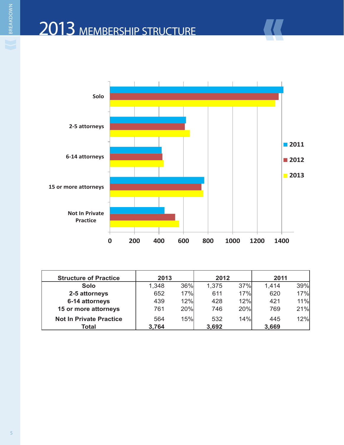

| <b>Structure of Practice</b>   | 2013  |            | 2012  |            | 2011  |     |
|--------------------------------|-------|------------|-------|------------|-------|-----|
| <b>Solo</b>                    | 1,348 | 36%        | 1,375 | 37%        | 1,414 | 39% |
| 2-5 attorneys                  | 652   | 17%        | 611   | 17%        | 620   | 17% |
| 6-14 attorneys                 | 439   | 12%        | 428   | 12%        | 421   | 11% |
| 15 or more attorneys           | 761   | <b>20%</b> | 746   | <b>20%</b> | 769   | 21% |
| <b>Not In Private Practice</b> | 564   | <b>15%</b> | 532   | 14%        | 445   | 12% |
| Total                          | 3,764 |            | 3,692 |            | 3,669 |     |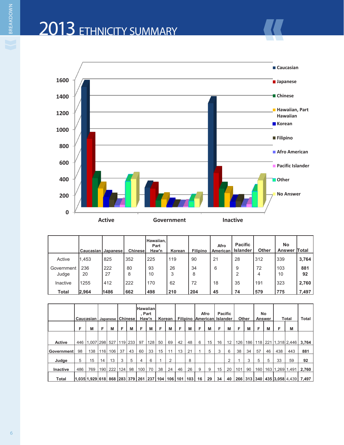## 2013 ETHNICITY SUMMARY



|                     | Caucasian   Japanese |           | <b>Chinese</b> | <b>IHawaiian.</b><br>Part<br>Haw'n | Korean  | <b>Filipino</b> | Afro<br>American I | <b>Pacific</b><br><b>Islander</b> | <b>Other</b> | <b>No</b><br><b>Answer Total</b> |           |
|---------------------|----------------------|-----------|----------------|------------------------------------|---------|-----------------|--------------------|-----------------------------------|--------------|----------------------------------|-----------|
| Active              | 1.453                | 825       | 352            | 225                                | 119     | 90              | 21                 | 28                                | 312          | 339                              | 3,764     |
| Government<br>Judge | 236<br>20            | 222<br>27 | 80<br>8        | 93<br>10                           | 26<br>3 | 34<br>8         | 6                  | 9<br>2                            | 72<br>4      | 103<br>10                        | 881<br>92 |
| Inactive            | 1255                 | 412       | 222            | 170                                | 62      | 72              | 18                 | 35                                | 191          | 323                              | 2,760     |
| Total               | 2,964                | 1486      | 662            | 498                                | 210     | 204             | 45                 | 74                                | 579          | 775                              | 7,497     |

|                   |     | Caucasian   Japanese   Chinese                                |     |     |     |     | <b>Hawaiian</b> | , Part<br>Haw'n |    | Korean         |    |    |   | Afro<br>Filipino American Islander |    | <b>Pacific</b>    |     | <b>Other</b> |                  | No<br>Answer |     | <b>Total</b>        | Total                                       |
|-------------------|-----|---------------------------------------------------------------|-----|-----|-----|-----|-----------------|-----------------|----|----------------|----|----|---|------------------------------------|----|-------------------|-----|--------------|------------------|--------------|-----|---------------------|---------------------------------------------|
|                   | F   | M                                                             | F   | M   | F   | M   | F               | M               | F  | M              | F  | M  | F | М                                  | F  | М                 | F   | М            | F                | M            | F   | M                   |                                             |
|                   |     |                                                               |     |     |     |     |                 |                 |    |                |    |    |   |                                    |    |                   |     |              |                  |              |     |                     |                                             |
| <b>Active</b>     | 446 | 1.007                                                         | 298 | 527 | 119 | 233 | 97              | 128             | 50 | 69             | 42 | 48 | 6 | 15                                 | 16 | $12 \overline{ }$ | 126 | 186          |                  |              |     | 118 221 1,318 2,446 | 3,764                                       |
| <b>Government</b> | 98  | 138                                                           | 116 | 106 | 37  | 43  | 60              | 33              | 15 | 11             | 13 | 21 |   | 5                                  | 3  | 6                 | 38  | 34           | 57               | 46           | 438 | 443                 | 881                                         |
| Judge             | 5   | 15                                                            | 14  | 13  | 3   | 5   | 4               | 6               |    | $\overline{2}$ |    | 8  |   |                                    |    | 2                 |     | 3            | 5                | 5            | 33  | 59                  | 92                                          |
| <b>Inactive</b>   | 486 | 769                                                           | 190 | 222 | 124 | 98  | 100             | 70              | 38 | 24             | 46 | 26 | 9 | 9                                  | 15 | 20                | 101 | 90           | 160 <sub>1</sub> | 163          |     | .269 1.491          | 2,760                                       |
| Total             |     | $ 1,035 1,929 618 868 283 379 261 237 104 106 101 103 16 29 $ |     |     |     |     |                 |                 |    |                |    |    |   |                                    | 34 | 40                |     |              |                  |              |     |                     | 266   313   340   435  3,058  4,439   7,497 |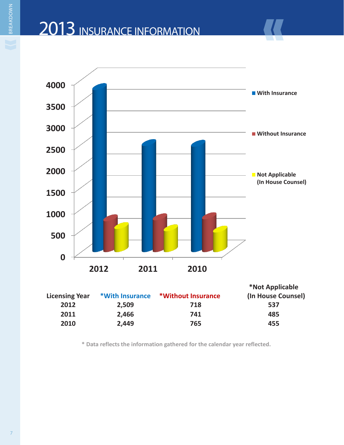## 2013 INSURANCE INFORMATION



| <b>Licensing Year</b> | *With Insurance | *Without Insurance | *Not Applicable<br>(In House Counsel) |
|-----------------------|-----------------|--------------------|---------------------------------------|
| 2012                  | 2,509           | 718                | 537                                   |
| 2011                  | 2,466           | 741                | 485                                   |
| 2010                  | 2,449           | 765                | 455                                   |

**\* Data reflects the information gathered for the calendar year reflected.**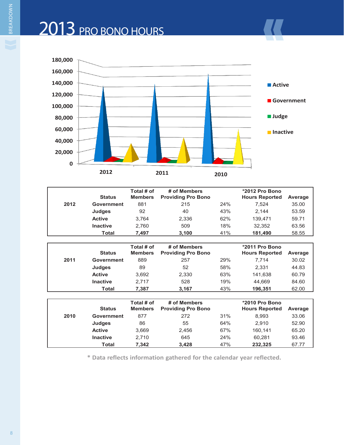

|      | <b>Status</b>     | Total # of<br><b>Members</b> | # of Members<br><b>Providing Pro Bono</b> |     | *2012 Pro Bono<br><b>Hours Reported</b> | Average |
|------|-------------------|------------------------------|-------------------------------------------|-----|-----------------------------------------|---------|
| 2012 | <b>Government</b> | 881                          | 215                                       | 24% | 7.524                                   | 35.00   |
|      | Judges            | 92                           | 40                                        | 43% | 2.144                                   | 53.59   |
|      | <b>Active</b>     | 3.764                        | 2,336                                     | 62% | 139.471                                 | 59.71   |
|      | <b>Inactive</b>   | 2.760                        | 509                                       | 18% | 32.352                                  | 63.56   |
|      | Total             | 7.497                        | 3.100                                     | 41% | 181,490                                 | 58.55   |

|      | <b>Status</b>   | Total # of<br><b>Members</b> | # of Members<br><b>Providing Pro Bono</b> |     | *2011 Pro Bono<br><b>Hours Reported</b> | Average |
|------|-----------------|------------------------------|-------------------------------------------|-----|-----------------------------------------|---------|
| 2011 | Government      | 889                          | 257                                       | 29% | 7.714                                   | 30.02   |
|      | <b>Judges</b>   | 89                           | 52                                        | 58% | 2.331                                   | 44.83   |
|      | <b>Active</b>   | 3.692                        | 2,330                                     | 63% | 141.638                                 | 60.79   |
|      | <b>Inactive</b> | 2.717                        | 528                                       | 19% | 44.669                                  | 84.60   |
|      | Total           | 7.387                        | 3,167                                     | 43% | 196,351                                 | 62.00   |

|      | <b>Status</b>     | Total # of<br><b>Members</b> | # of Members<br><b>Providing Pro Bono</b> |     | *2010 Pro Bono<br><b>Hours Reported</b> | Average |
|------|-------------------|------------------------------|-------------------------------------------|-----|-----------------------------------------|---------|
| 2010 | <b>Government</b> | 877                          | 272                                       | 31% | 8.993                                   | 33.06   |
|      | Judges            | 86                           | 55                                        | 64% | 2.910                                   | 52.90   |
|      | <b>Active</b>     | 3.669                        | 2.456                                     | 67% | 160.141                                 | 65.20   |
|      | <b>Inactive</b>   | 2.710                        | 645                                       | 24% | 60.281                                  | 93.46   |
|      | Total             | 7.342                        | 3.428                                     | 47% | 232.325                                 | 67.77   |

**\* Data reflects information gathered for the calendar year reflected.**